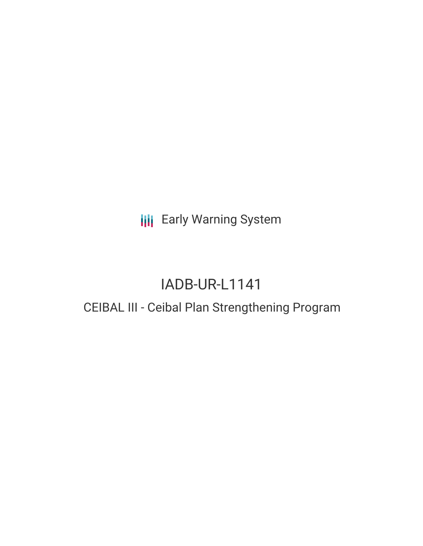**III** Early Warning System

## IADB-UR-L1141

### CEIBAL III - Ceibal Plan Strengthening Program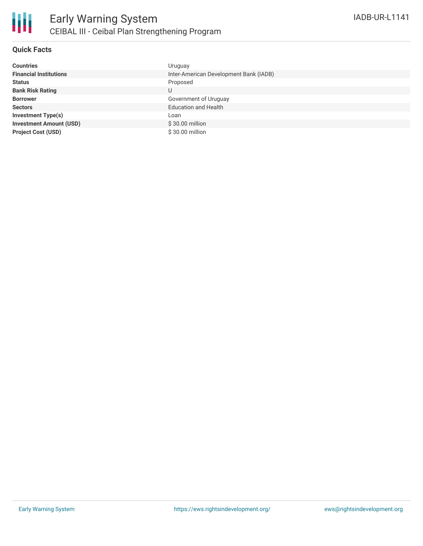

#### **Quick Facts**

| <b>Countries</b>               | Uruguay                                |
|--------------------------------|----------------------------------------|
| <b>Financial Institutions</b>  | Inter-American Development Bank (IADB) |
| <b>Status</b>                  | Proposed                               |
| <b>Bank Risk Rating</b>        | U                                      |
| <b>Borrower</b>                | Government of Uruguay                  |
| <b>Sectors</b>                 | <b>Education and Health</b>            |
| <b>Investment Type(s)</b>      | Loan                                   |
| <b>Investment Amount (USD)</b> | $$30.00$ million                       |
| <b>Project Cost (USD)</b>      | \$30.00 million                        |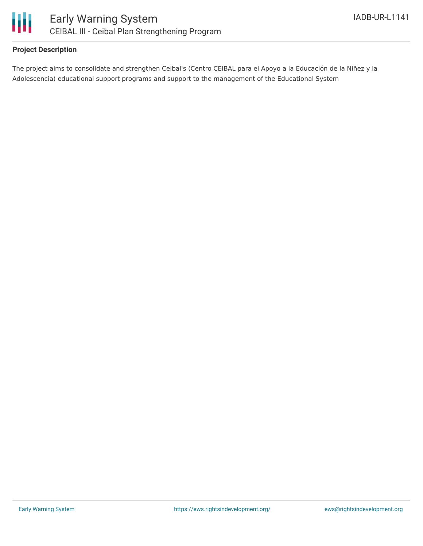

#### **Project Description**

The project aims to consolidate and strengthen Ceibal's (Centro CEIBAL para el Apoyo a la Educación de la Niñez y la Adolescencia) educational support programs and support to the management of the Educational System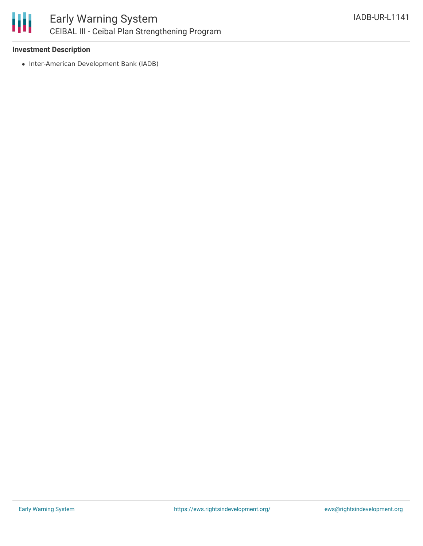# ₩

#### **Investment Description**

• Inter-American Development Bank (IADB)